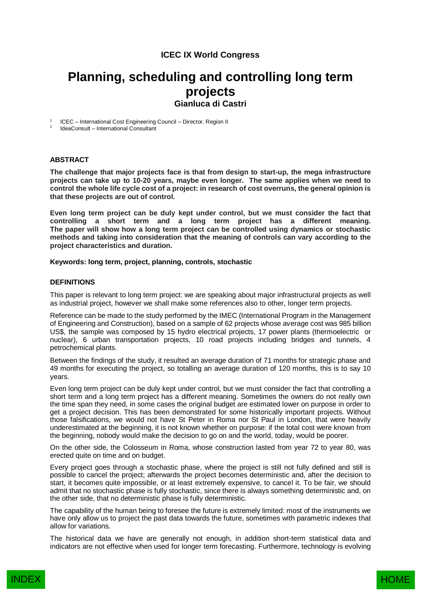## **ICEC IX World Congress**

# **Planning, scheduling and controlling long term projects Gianluca di Castri**

1 ICEC – International Cost Engineering Council – Director, Region II

2 IdeaConsult – International Consultant

## **ABSTRACT**

**The challenge that major projects face is that from design to start-up, the mega infrastructure projects can take up to 10-20 years, maybe even longer. The same applies when we need to control the whole life cycle cost of a project: in research of cost overruns, the general opinion is that these projects are out of control.**

**Even long term project can be duly kept under control, but we must consider the fact that controlling a short term and a long term project has a different meaning. The paper will show how a long term project can be controlled using dynamics or stochastic methods and taking into consideration that the meaning of controls can vary according to the project characteristics and duration.**

#### **Keywords: long term, project, planning, controls, stochastic**

#### **DEFINITIONS**

This paper is relevant to long term project: we are speaking about major infrastructural projects as well as industrial project, however we shall make some references also to other, longer term projects.

Reference can be made to the study performed by the IMEC (International Program in the Management of Engineering and Construction), based on a sample of 62 projects whose average cost was 985 billion US\$, the sample was composed by 15 hydro electrical projects, 17 power plants (thermoelectric or nuclear), 6 urban transportation projects, 10 road projects including bridges and tunnels, 4 petrochemical plants.

Between the findings of the study, it resulted an average duration of 71 months for strategic phase and 49 months for executing the project, so totalling an average duration of 120 months, this is to say 10 years.

Even long term project can be duly kept under control, but we must consider the fact that controlling a short term and a long term project has a different meaning. Sometimes the owners do not really own the time span they need, in some cases the original budget are estimated lower on purpose in order to get a project decision. This has been demonstrated for some historically important projects. Without those falsifications, we would not have St Peter in Roma nor St Paul in London, that were heavily underestimated at the beginning, it is not known whether on purpose: if the total cost were known from the beginning, nobody would make the decision to go on and the world, today, would be poorer.

On the other side, the Colosseum in Roma, whose construction lasted from year 72 to year 80, was erected quite on time and on budget.

Every project goes through a stochastic phase, where the project is still not fully defined and still is possible to cancel the project; afterwards the project becomes deterministic and, after the decision to start, it becomes quite impossible, or at least extremely expensive, to cancel it. To be fair, we should admit that no stochastic phase is fully stochastic, since there is always something deterministic and, on the other side, that no deterministic phase is fully deterministic.

The capability of the human being to foresee the future is extremely limited: most of the instruments we have only allow us to project the past data towards the future, sometimes with parametric indexes that allow for variations.

The historical data we have are generally not enough, in addition short-term statistical data and indicators are not effective when used for longer term forecasting. Furthermore, technology is evolving

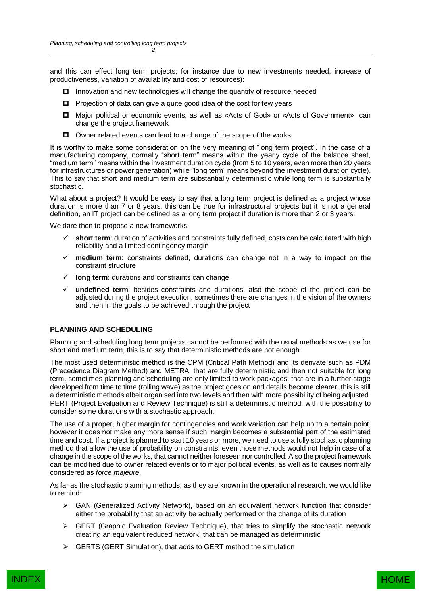and this can effect long term projects, for instance due to new investments needed, increase of productiveness, variation of availability and cost of resources):

- $\Box$  Innovation and new technologies will change the quantity of resource needed
- $\Box$  Projection of data can give a quite good idea of the cost for few years
- Major political or economic events, as well as «Acts of God» or «Acts of Government» can change the project framework
- □ Owner related events can lead to a change of the scope of the works

It is worthy to make some consideration on the very meaning of "long term project". In the case of a manufacturing company, normally "short term" means within the yearly cycle of the balance sheet, "medium term" means within the investment duration cycle (from 5 to 10 years, even more than 20 years for infrastructures or power generation) while "long term" means beyond the investment duration cycle). This to say that short and medium term are substantially deterministic while long term is substantially stochastic.

What about a project? It would be easy to say that a long term project is defined as a project whose duration is more than 7 or 8 years, this can be true for infrastructural projects but it is not a general definition, an IT project can be defined as a long term project if duration is more than 2 or 3 years.

We dare then to propose a new frameworks:

- **short term**: duration of activities and constraints fully defined, costs can be calculated with high reliability and a limited contingency margin
- **medium term**: constraints defined, durations can change not in a way to impact on the constraint structure
- $\checkmark$  long term: durations and constraints can change
- **undefined term**: besides constraints and durations, also the scope of the project can be adjusted during the project execution, sometimes there are changes in the vision of the owners and then in the goals to be achieved through the project

### **PLANNING AND SCHEDULING**

Planning and scheduling long term projects cannot be performed with the usual methods as we use for short and medium term, this is to say that deterministic methods are not enough.

The most used deterministic method is the CPM (Critical Path Method) and its derivate such as PDM (Precedence Diagram Method) and METRA, that are fully deterministic and then not suitable for long term, sometimes planning and scheduling are only limited to work packages, that are in a further stage developed from time to time (rolling wave) as the project goes on and details become clearer, this is still a deterministic methods albeit organised into two levels and then with more possibility of being adjusted. PERT (Project Evaluation and Review Technique) is still a deterministic method, with the possibility to consider some durations with a stochastic approach.

The use of a proper, higher margin for contingencies and work variation can help up to a certain point, however it does not make any more sense if such margin becomes a substantial part of the estimated time and cost. If a project is planned to start 10 years or more, we need to use a fully stochastic planning method that allow the use of probability on constraints: even those methods would not help in case of a change in the scope of the works, that cannot neither foreseen nor controlled. Also the project framework can be modified due to owner related events or to major political events, as well as to causes normally considered as *force majeure*.

As far as the stochastic planning methods, as they are known in the operational research, we would like to remind:

- $\triangleright$  GAN (Generalized Activity Network), based on an equivalent network function that consider either the probability that an activity be actually performed or the change of its duration
- $\triangleright$  GERT (Graphic Evaluation Review Technique), that tries to simplify the stochastic network creating an equivalent reduced network, that can be managed as deterministic
- GERTS (GERT Simulation), that adds to GERT method the simulation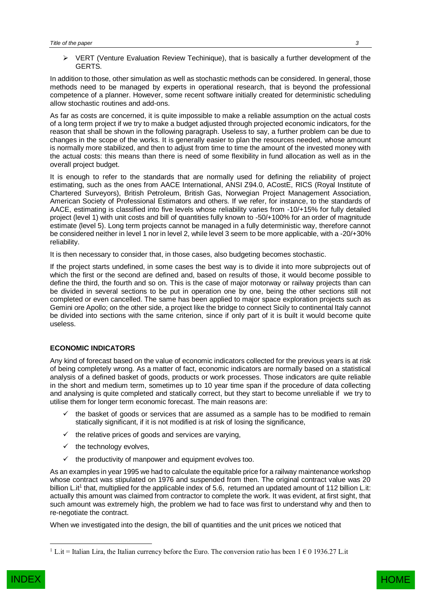$\triangleright$  VERT (Venture Evaluation Review Techinique), that is basically a further development of the GERTS.

In addition to those, other simulation as well as stochastic methods can be considered. In general, those methods need to be managed by experts in operational research, that is beyond the professional competence of a planner. However, some recent software initially created for deterministic scheduling allow stochastic routines and add-ons.

As far as costs are concerned, it is quite impossible to make a reliable assumption on the actual costs of a long term project if we try to make a budget adjusted through projected economic indicators, for the reason that shall be shown in the following paragraph. Useless to say, a further problem can be due to changes in the scope of the works. It is generally easier to plan the resources needed, whose amount is normally more stabilized, and then to adjust from time to time the amount of the invested money with the actual costs: this means than there is need of some flexibility in fund allocation as well as in the overall project budget.

It is enough to refer to the standards that are normally used for defining the reliability of project estimating, such as the ones from AACE International, ANSI Z94.0, ACostE, RICS (Royal Institute of Chartered Surveyors), British Petroleum, British Gas, Norwegian Project Management Association, American Society of Professional Estimators and others. If we refer, for instance, to the standards of AACE, estimating is classified into five levels whose reliability varies from -10/+15% for fully detailed project (level 1) with unit costs and bill of quantities fully known to -50/+100% for an order of magnitude estimate (level 5). Long term projects cannot be managed in a fully deterministic way, therefore cannot be considered neither in level 1 nor in level 2, while level 3 seem to be more applicable, with a -20/+30% reliability.

It is then necessary to consider that, in those cases, also budgeting becomes stochastic.

If the project starts undefined, in some cases the best way is to divide it into more subprojects out of which the first or the second are defined and, based on results of those, it would become possible to define the third, the fourth and so on. This is the case of major motorway or railway projects than can be divided in several sections to be put in operation one by one, being the other sections still not completed or even cancelled. The same has been applied to major space exploration projects such as Gemini ore Apollo; on the other side, a project like the bridge to connect Sicily to continental Italy cannot be divided into sections with the same criterion, since if only part of it is built it would become quite useless.

## **ECONOMIC INDICATORS**

Any kind of forecast based on the value of economic indicators collected for the previous years is at risk of being completely wrong. As a matter of fact, economic indicators are normally based on a statistical analysis of a defined basket of goods, products or work processes. Those indicators are quite reliable in the short and medium term, sometimes up to 10 year time span if the procedure of data collecting and analysing is quite completed and statically correct, but they start to become unreliable if we try to utilise them for longer term economic forecast. The main reasons are:

- $\checkmark$  the basket of goods or services that are assumed as a sample has to be modified to remain statically significant, if it is not modified is at risk of losing the significance,
- $\checkmark$  the relative prices of goods and services are varying,
- $\checkmark$  the technology evolves,
- $\checkmark$  the productivity of manpower and equipment evolves too.

As an examples in year 1995 we had to calculate the equitable price for a railway maintenance workshop whose contract was stipulated on 1976 and suspended from then. The original contract value was 20 billion L.it<sup>1</sup> that, multiplied for the applicable index of 5.6, returned an updated amount of 112 billion L.it: actually this amount was claimed from contractor to complete the work. It was evident, at first sight, that such amount was extremely high, the problem we had to face was first to understand why and then to re-negotiate the contract.

When we investigated into the design, the bill of quantities and the unit prices we noticed that

 $\overline{a}$ 



<sup>&</sup>lt;sup>1</sup> L.it = Italian Lira, the Italian currency before the Euro. The conversion ratio has been  $1 \in 0$  1936.27 L.it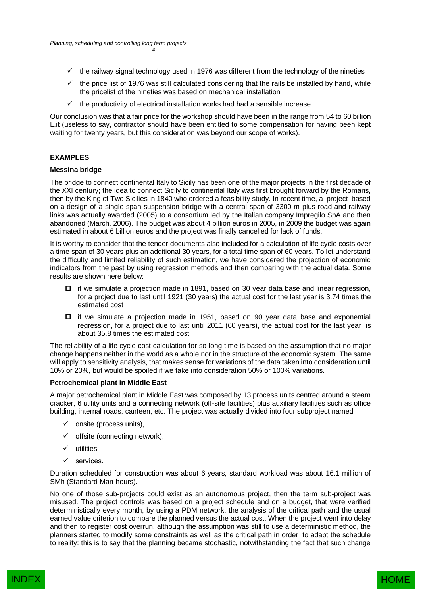- $\checkmark$  the railway signal technology used in 1976 was different from the technology of the nineties
- $\checkmark$  the price list of 1976 was still calculated considering that the rails be installed by hand, while the pricelist of the nineties was based on mechanical installation
- $\checkmark$  the productivity of electrical installation works had had a sensible increase

Our conclusion was that a fair price for the workshop should have been in the range from 54 to 60 billion L.it (useless to say, contractor should have been entitled to some compensation for having been kept waiting for twenty years, but this consideration was beyond our scope of works).

## **EXAMPLES**

#### **Messina bridge**

The bridge to connect continental Italy to Sicily has been one of the major projects in the first decade of the XXI century; the idea to connect Sicily to continental Italy was first brought forward by the Romans, then by the King of Two Sicilies in 1840 who ordered a feasibility study. In recent time, a project based on a design of a single-span suspension bridge with a central span of 3300 m plus road and railway links was actually awarded (2005) to a consortium led by the Italian company Impregilo SpA and then abandoned (March, 2006). The budget was about 4 billion euros in 2005, in 2009 the budget was again estimated in about 6 billion euros and the project was finally cancelled for lack of funds.

It is worthy to consider that the tender documents also included for a calculation of life cycle costs over a time span of 30 years plus an additional 30 years, for a total time span of 60 years. To let understand the difficulty and limited reliability of such estimation, we have considered the projection of economic indicators from the past by using regression methods and then comparing with the actual data. Some results are shown here below:

- □ if we simulate a projection made in 1891, based on 30 year data base and linear regression, for a project due to last until 1921 (30 years) the actual cost for the last year is 3.74 times the estimated cost
- $\Box$  if we simulate a projection made in 1951, based on 90 year data base and exponential regression, for a project due to last until 2011 (60 years), the actual cost for the last year is about 35.8 times the estimated cost

The reliability of a life cycle cost calculation for so long time is based on the assumption that no major change happens neither in the world as a whole nor in the structure of the economic system. The same will apply to sensitivity analysis, that makes sense for variations of the data taken into consideration until 10% or 20%, but would be spoiled if we take into consideration 50% or 100% variations.

#### **Petrochemical plant in Middle East**

A major petrochemical plant in Middle East was composed by 13 process units centred around a steam cracker, 6 utility units and a connecting network (off-site facilities) plus auxiliary facilities such as office building, internal roads, canteen, etc. The project was actually divided into four subproject named

- $\checkmark$  onsite (process units).
- $\checkmark$  offsite (connecting network),
- $\checkmark$  utilities,
- services.

Duration scheduled for construction was about 6 years, standard workload was about 16.1 million of SMh (Standard Man-hours).

No one of those sub-projects could exist as an autonomous project, then the term sub-project was misused. The project controls was based on a project schedule and on a budget, that were verified deterministically every month, by using a PDM network, the analysis of the critical path and the usual earned value criterion to compare the planned versus the actual cost. When the project went into delay and then to register cost overrun, although the assumption was still to use a deterministic method, the planners started to modify some constraints as well as the critical path in order to adapt the schedule to reality: this is to say that the planning became stochastic, notwithstanding the fact that such change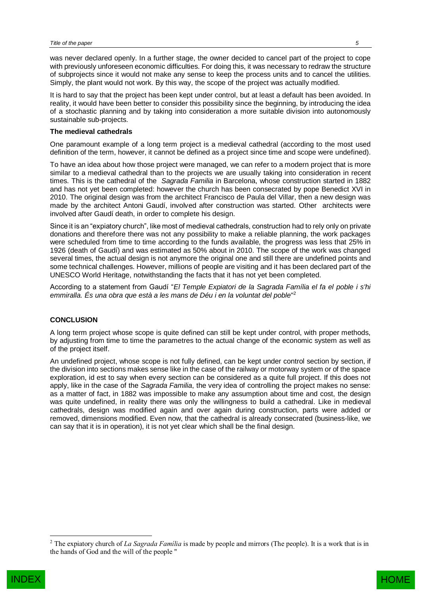was never declared openly. In a further stage, the owner decided to cancel part of the project to cope with previously unforeseen economic difficulties. For doing this, it was necessary to redraw the structure of subprojects since it would not make any sense to keep the process units and to cancel the utilities. Simply, the plant would not work. By this way, the scope of the project was actually modified.

It is hard to say that the project has been kept under control, but at least a default has been avoided. In reality, it would have been better to consider this possibility since the beginning, by introducing the idea of a stochastic planning and by taking into consideration a more suitable division into autonomously sustainable sub-projects.

#### **The medieval cathedrals**

One paramount example of a long term project is a medieval cathedral (according to the most used definition of the term, however, it cannot be defined as a project since time and scope were undefined).

To have an idea about how those project were managed, we can refer to a modern project that is more similar to a medieval cathedral than to the projects we are usually taking into consideration in recent times. This is the cathedral of the *Sagrada Familia* in Barcelona, whose construction started in 1882 and has not yet been completed: however the church has been consecrated by pope Benedict XVI in 2010. The original design was from the architect Francisco de Paula del Villar, then a new design was made by the architect Antoni Gaudí, involved after construction was started. Other architects were involved after Gaudí death, in order to complete his design.

Since it is an "expiatory church", like most of medieval cathedrals, construction had to rely only on private donations and therefore there was not any possibility to make a reliable planning, the work packages were scheduled from time to time according to the funds available, the progress was less that 25% in 1926 (death of Gaudí) and was estimated as 50% about in 2010. The scope of the work was changed several times, the actual design is not anymore the original one and still there are undefined points and some technical challenges. However, millions of people are visiting and it has been declared part of the UNESCO World Heritage, notwithstanding the facts that it has not yet been completed.

According to a statement from Gaudí "*El Temple Expiatori de la Sagrada Família el fa el poble i s'hi emmiralla. És una obra que està a les mans de Déu i en la voluntat del poble*" 2

### **CONCLUSION**

A long term project whose scope is quite defined can still be kept under control, with proper methods, by adjusting from time to time the parametres to the actual change of the economic system as well as of the project itself.

An undefined project, whose scope is not fully defined, can be kept under control section by section, if the division into sections makes sense like in the case of the railway or motorway system or of the space exploration, id est to say when every section can be considered as a quite full project. If this does not apply, like in the case of the *Sagrada Familia*, the very idea of controlling the project makes no sense: as a matter of fact, in 1882 was impossible to make any assumption about time and cost, the design was quite undefined, in reality there was only the willingness to build a cathedral. Like in medieval cathedrals, design was modified again and over again during construction, parts were added or removed, dimensions modified. Even now, that the cathedral is already consecrated (business-like, we can say that it is in operation), it is not yet clear which shall be the final design.



 $\overline{a}$ 

<sup>&</sup>lt;sup>2</sup> The expiatory church of *La Sagrada Família* is made by people and mirrors (The people). It is a work that is in the hands of God and the will of the people "